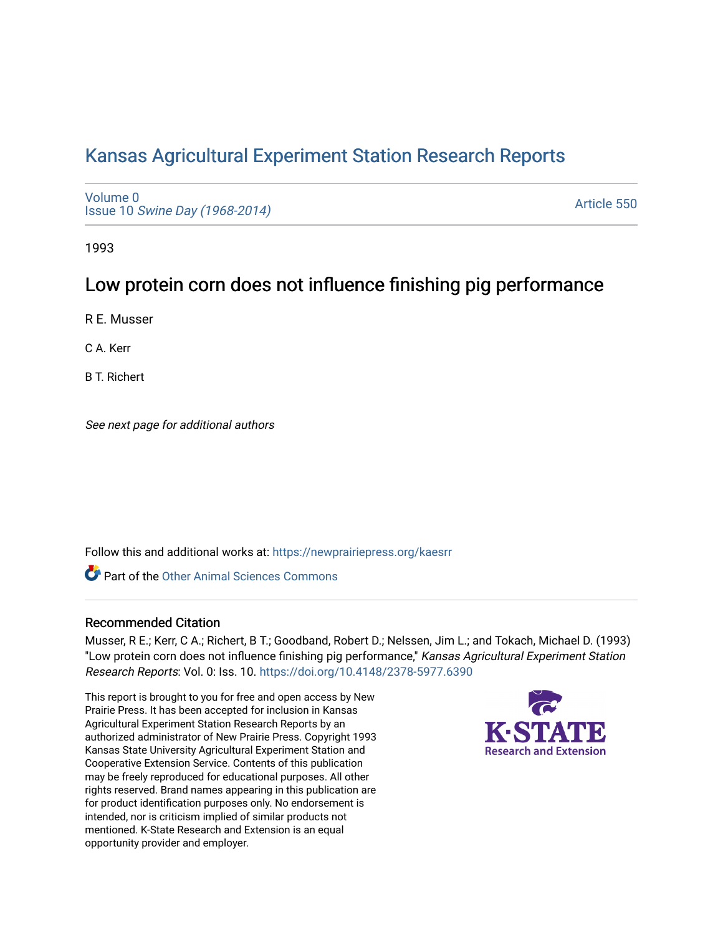# [Kansas Agricultural Experiment Station Research Reports](https://newprairiepress.org/kaesrr)

[Volume 0](https://newprairiepress.org/kaesrr/vol0) Issue 10 [Swine Day \(1968-2014\)](https://newprairiepress.org/kaesrr/vol0/iss10)

[Article 550](https://newprairiepress.org/kaesrr/vol0/iss10/550) 

1993

# Low protein corn does not influence finishing pig performance

R E. Musser

C A. Kerr

B T. Richert

See next page for additional authors

Follow this and additional works at: [https://newprairiepress.org/kaesrr](https://newprairiepress.org/kaesrr?utm_source=newprairiepress.org%2Fkaesrr%2Fvol0%2Fiss10%2F550&utm_medium=PDF&utm_campaign=PDFCoverPages) 

**C** Part of the [Other Animal Sciences Commons](http://network.bepress.com/hgg/discipline/82?utm_source=newprairiepress.org%2Fkaesrr%2Fvol0%2Fiss10%2F550&utm_medium=PDF&utm_campaign=PDFCoverPages)

### Recommended Citation

Musser, R E.; Kerr, C A.; Richert, B T.; Goodband, Robert D.; Nelssen, Jim L.; and Tokach, Michael D. (1993) "Low protein corn does not influence finishing pig performance," Kansas Agricultural Experiment Station Research Reports: Vol. 0: Iss. 10. <https://doi.org/10.4148/2378-5977.6390>

This report is brought to you for free and open access by New Prairie Press. It has been accepted for inclusion in Kansas Agricultural Experiment Station Research Reports by an authorized administrator of New Prairie Press. Copyright 1993 Kansas State University Agricultural Experiment Station and Cooperative Extension Service. Contents of this publication may be freely reproduced for educational purposes. All other rights reserved. Brand names appearing in this publication are for product identification purposes only. No endorsement is intended, nor is criticism implied of similar products not mentioned. K-State Research and Extension is an equal opportunity provider and employer.

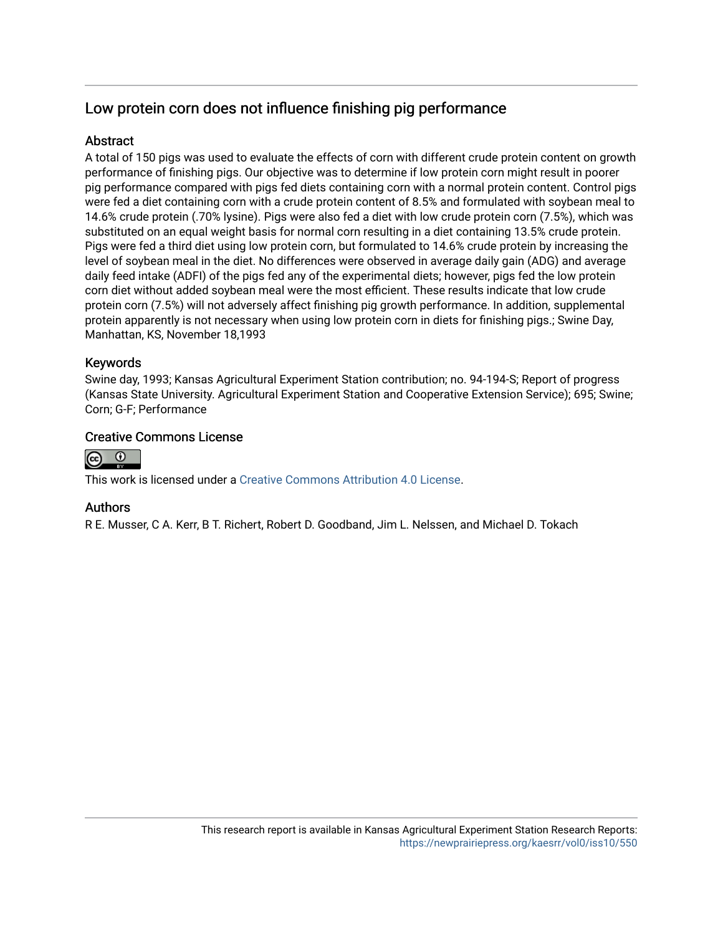# Low protein corn does not influence finishing pig performance

# Abstract

A total of 150 pigs was used to evaluate the effects of corn with different crude protein content on growth performance of finishing pigs. Our objective was to determine if low protein corn might result in poorer pig performance compared with pigs fed diets containing corn with a normal protein content. Control pigs were fed a diet containing corn with a crude protein content of 8.5% and formulated with soybean meal to 14.6% crude protein (.70% lysine). Pigs were also fed a diet with low crude protein corn (7.5%), which was substituted on an equal weight basis for normal corn resulting in a diet containing 13.5% crude protein. Pigs were fed a third diet using low protein corn, but formulated to 14.6% crude protein by increasing the level of soybean meal in the diet. No differences were observed in average daily gain (ADG) and average daily feed intake (ADFI) of the pigs fed any of the experimental diets; however, pigs fed the low protein corn diet without added soybean meal were the most efficient. These results indicate that low crude protein corn (7.5%) will not adversely affect finishing pig growth performance. In addition, supplemental protein apparently is not necessary when using low protein corn in diets for finishing pigs.; Swine Day, Manhattan, KS, November 18,1993

## Keywords

Swine day, 1993; Kansas Agricultural Experiment Station contribution; no. 94-194-S; Report of progress (Kansas State University. Agricultural Experiment Station and Cooperative Extension Service); 695; Swine; Corn; G-F; Performance

## Creative Commons License



This work is licensed under a [Creative Commons Attribution 4.0 License](https://creativecommons.org/licenses/by/4.0/).

### Authors

R E. Musser, C A. Kerr, B T. Richert, Robert D. Goodband, Jim L. Nelssen, and Michael D. Tokach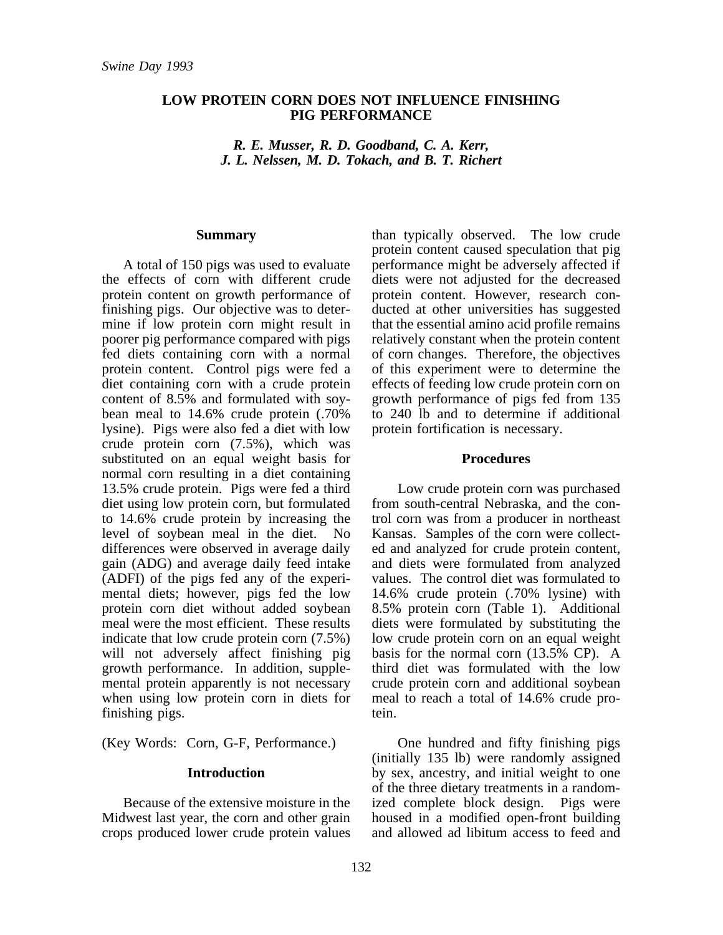#### **LOW PROTEIN CORN DOES NOT INFLUENCE FINISHING PIG PERFORMANCE**

*R. E. Musser, R. D. Goodband, C. A. Kerr, J. L. Nelssen, M. D. Tokach, and B. T. Richert*

#### **Summary**

A total of 150 pigs was used to evaluate the effects of corn with different crude protein content on growth performance of finishing pigs. Our objective was to determine if low protein corn might result in poorer pig performance compared with pigs fed diets containing corn with a normal protein content. Control pigs were fed a diet containing corn with a crude protein content of 8.5% and formulated with soybean meal to 14.6% crude protein (.70% lysine). Pigs were also fed a diet with low crude protein corn (7.5%), which was substituted on an equal weight basis for normal corn resulting in a diet containing 13.5% crude protein. Pigs were fed a third diet using low protein corn, but formulated to 14.6% crude protein by increasing the level of soybean meal in the diet. No differences were observed in average daily gain (ADG) and average daily feed intake (ADFI) of the pigs fed any of the experimental diets; however, pigs fed the low protein corn diet without added soybean meal were the most efficient. These results indicate that low crude protein corn (7.5%) will not adversely affect finishing pig growth performance. In addition, supplemental protein apparently is not necessary when using low protein corn in diets for finishing pigs.

(Key Words: Corn, G-F, Performance.)

#### **Introduction**

Because of the extensive moisture in the Midwest last year, the corn and other grain crops produced lower crude protein values than typically observed. The low crude protein content caused speculation that pig performance might be adversely affected if diets were not adjusted for the decreased protein content. However, research conducted at other universities has suggested that the essential amino acid profile remains relatively constant when the protein content of corn changes. Therefore, the objectives of this experiment were to determine the effects of feeding low crude protein corn on growth performance of pigs fed from 135 to 240 lb and to determine if additional protein fortification is necessary.

#### **Procedures**

Low crude protein corn was purchased from south-central Nebraska, and the control corn was from a producer in northeast Kansas. Samples of the corn were collected and analyzed for crude protein content, and diets were formulated from analyzed values. The control diet was formulated to 14.6% crude protein (.70% lysine) with 8.5% protein corn (Table 1). Additional diets were formulated by substituting the low crude protein corn on an equal weight basis for the normal corn (13.5% CP). A third diet was formulated with the low crude protein corn and additional soybean meal to reach a total of 14.6% crude protein.

One hundred and fifty finishing pigs (initially 135 lb) were randomly assigned by sex, ancestry, and initial weight to one of the three dietary treatments in a randomized complete block design. Pigs were housed in a modified open-front building and allowed ad libitum access to feed and